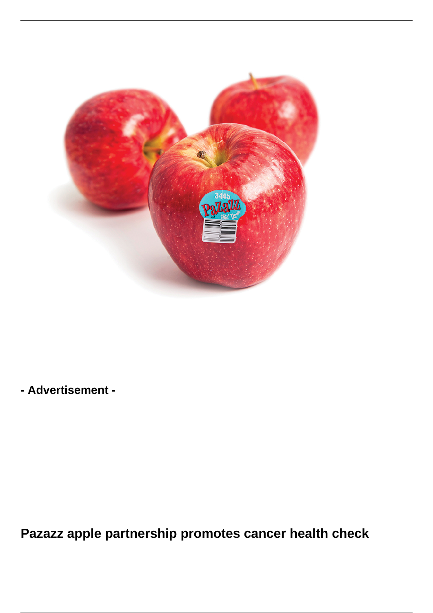

**- Advertisement -**

**Pazazz apple partnership promotes cancer health check**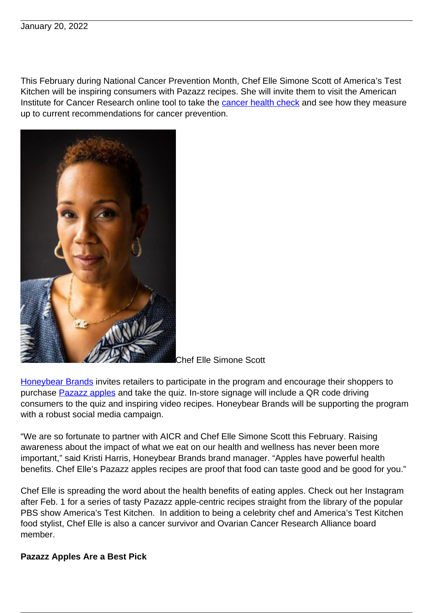## January 20, 2022

This February during National Cancer Prevention Month, Chef Elle Simone Scott of America's Test Kitchen will be inspiring consumers with Pazazz recipes. She will invite them to visit the American Institute for Cancer Research online tool to take the **cancer health check** and see how they measure up to current recommendations for cancer prevention.



Chef Elle Simone Scott

[Honeybear Brands](https://www.honeybearbrands.com/) invites retailers to participate in the program and encourage their shoppers to purchase **Pazazz apples** and take the quiz. In-store signage will include a QR code driving consumers to the quiz and inspiring video recipes. Honeybear Brands will be supporting the program with a robust social media campaign.

"We are so fortunate to partner with AICR and Chef Elle Simone Scott this February. Raising awareness about the impact of what we eat on our health and wellness has never been more important," said Kristi Harris, Honeybear Brands brand manager. "Apples have powerful health benefits. Chef Elle's Pazazz apples recipes are proof that food can taste good and be good for you."

Chef Elle is spreading the word about the health benefits of eating apples. Check out her Instagram after Feb. 1 for a series of tasty Pazazz apple-centric recipes straight from the library of the popular PBS show America's Test Kitchen. In addition to being a celebrity chef and America's Test Kitchen food stylist, Chef Elle is also a cancer survivor and Ovarian Cancer Research Alliance board member.

## **Pazazz Apples Are a Best Pick**